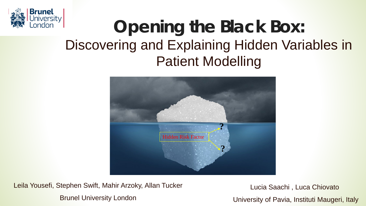

# **Opening the Black Box:** Discovering and Explaining Hidden Variables in Patient Modelling



Leila Yousefi, Stephen Swift, Mahir Arzoky, Allan Tucker Brunel University London

Lucia Saachi , Luca Chiovato

University of Pavia, Instituti Maugeri, Italy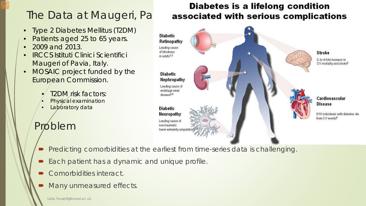- Type 2 Diabetes Mellitus (T2DM)
- Patients aged 25 to 65 years.
- 2009 and 2013.
- IRCCS Istituti Clinici Scientifici Maugeri of Pavia, Italy.
- MOSAIC project funded by the European Commission.
	- T2DM risk factors:
	- $Physizial$  examination
	- Laboratory data

# Problem

### **Diabetes is a lifelong condition** The Data at Maugeri, Pa associated with serious complications



- Predicting comorbidities at the earliest from time-series data is challenging.
- Each patient has a dynamic and unique profile.
- Comorbidities interact.
- Many unmeasured effects.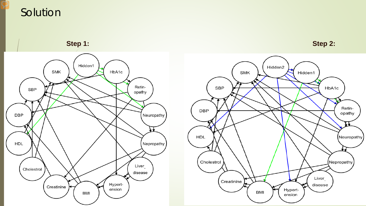### Solution

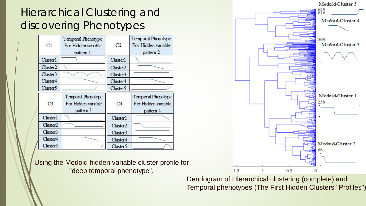## Hierarchical Clustering and discovering Phenotypes

| C1                   | Temporal Phenotype<br>For Hidden variable<br>pattem 1  | C <sub>2</sub>       | Temporal Phenotype<br>For Hidden variable<br>pattern 2 |
|----------------------|--------------------------------------------------------|----------------------|--------------------------------------------------------|
| Cluster1             |                                                        | Cluster1             |                                                        |
| Cluster2             |                                                        | Cluster <sub>2</sub> |                                                        |
| Cluster3             |                                                        | Cluster3             |                                                        |
| Cluster4             |                                                        | Cluster4             |                                                        |
| Cluster5             |                                                        | Cluster <sup>5</sup> |                                                        |
| C <sub>3</sub>       | Temporal Phenotype<br>For Hidden variable<br>pattern 3 | C4                   | Temporal Phenotype<br>For Hidden variable<br>pattern 4 |
| Cluster1             |                                                        | Cluster1             |                                                        |
| Cluster <sub>2</sub> |                                                        | Cluster2             |                                                        |
| Cluster3             |                                                        | Cluster3             |                                                        |
| Cluster4             |                                                        | Cluster4             |                                                        |
| Cluster5             |                                                        | Cluster <sup>5</sup> |                                                        |

Using the Medoid hidden variable cluster profile for "deep temporal phenotype".



Dendogram of Hierarchical clustering (complete) and Temporal phenotypes (The First Hidden Clusters "Profiles")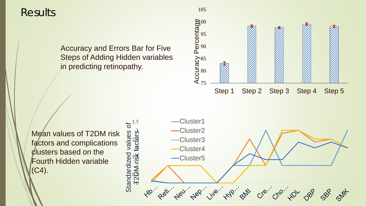**Results** 

Accuracy and Errors Bar for Five Steps of Adding Hidden variables in predicting retinopathy.



Mean values of T2DM risk factors and complications clusters based on the Fourth Hidden variable (C4).

Cluster1  $3.5$ Standardized values of ð Cluster2 values factors. T2DM risk factors Cluster3 Cluster4 Standardized **T2DM-risk** Cluster5 Nep. info. HP agency